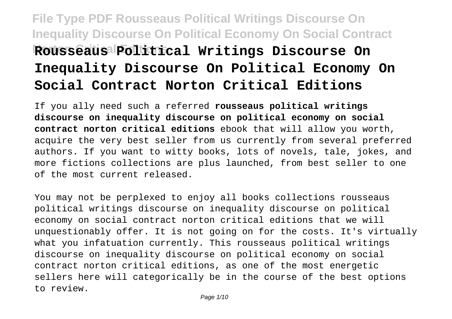# **File Type PDF Rousseaus Political Writings Discourse On Inequality Discourse On Political Economy On Social Contract Rousseaus** Political Writings Discourse On **Inequality Discourse On Political Economy On Social Contract Norton Critical Editions**

If you ally need such a referred **rousseaus political writings discourse on inequality discourse on political economy on social contract norton critical editions** ebook that will allow you worth, acquire the very best seller from us currently from several preferred authors. If you want to witty books, lots of novels, tale, jokes, and more fictions collections are plus launched, from best seller to one of the most current released.

You may not be perplexed to enjoy all books collections rousseaus political writings discourse on inequality discourse on political economy on social contract norton critical editions that we will unquestionably offer. It is not going on for the costs. It's virtually what you infatuation currently. This rousseaus political writings discourse on inequality discourse on political economy on social contract norton critical editions, as one of the most energetic sellers here will categorically be in the course of the best options to review.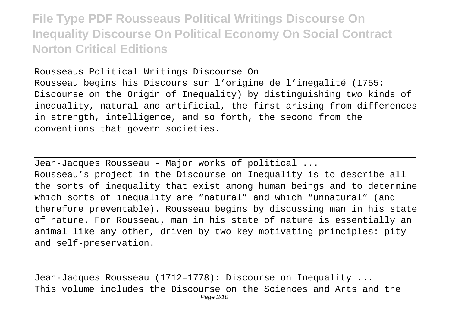Rousseaus Political Writings Discourse On Rousseau begins his Discours sur l'origine de l'inegalité (1755; Discourse on the Origin of Inequality) by distinguishing two kinds of inequality, natural and artificial, the first arising from differences in strength, intelligence, and so forth, the second from the conventions that govern societies.

Jean-Jacques Rousseau - Major works of political ...

Rousseau's project in the Discourse on Inequality is to describe all the sorts of inequality that exist among human beings and to determine which sorts of inequality are "natural" and which "unnatural" (and therefore preventable). Rousseau begins by discussing man in his state of nature. For Rousseau, man in his state of nature is essentially an animal like any other, driven by two key motivating principles: pity and self-preservation.

Jean-Jacques Rousseau (1712–1778): Discourse on Inequality ... This volume includes the Discourse on the Sciences and Arts and the Page 2/10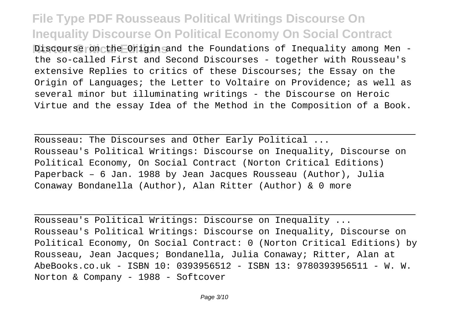Discourse on the Origin and the Foundations of Inequality among Men the so-called First and Second Discourses - together with Rousseau's extensive Replies to critics of these Discourses; the Essay on the Origin of Languages; the Letter to Voltaire on Providence; as well as several minor but illuminating writings - the Discourse on Heroic Virtue and the essay Idea of the Method in the Composition of a Book.

Rousseau: The Discourses and Other Early Political ... Rousseau's Political Writings: Discourse on Inequality, Discourse on Political Economy, On Social Contract (Norton Critical Editions) Paperback – 6 Jan. 1988 by Jean Jacques Rousseau (Author), Julia Conaway Bondanella (Author), Alan Ritter (Author) & 0 more

Rousseau's Political Writings: Discourse on Inequality ... Rousseau's Political Writings: Discourse on Inequality, Discourse on Political Economy, On Social Contract: 0 (Norton Critical Editions) by Rousseau, Jean Jacques; Bondanella, Julia Conaway; Ritter, Alan at AbeBooks.co.uk - ISBN 10: 0393956512 - ISBN 13: 9780393956511 - W. W. Norton & Company - 1988 - Softcover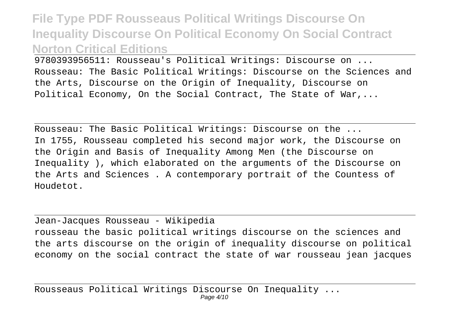9780393956511: Rousseau's Political Writings: Discourse on ... Rousseau: The Basic Political Writings: Discourse on the Sciences and the Arts, Discourse on the Origin of Inequality, Discourse on Political Economy, On the Social Contract, The State of War,...

Rousseau: The Basic Political Writings: Discourse on the ... In 1755, Rousseau completed his second major work, the Discourse on the Origin and Basis of Inequality Among Men (the Discourse on Inequality ), which elaborated on the arguments of the Discourse on the Arts and Sciences . A contemporary portrait of the Countess of Houdetot.

#### Jean-Jacques Rousseau - Wikipedia

rousseau the basic political writings discourse on the sciences and the arts discourse on the origin of inequality discourse on political economy on the social contract the state of war rousseau jean jacques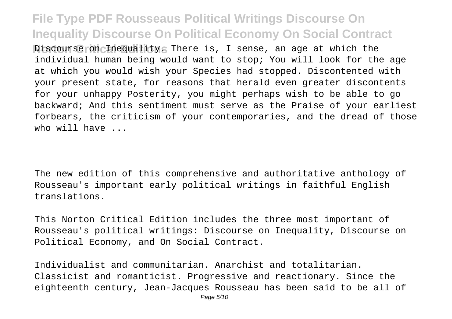**Discourse on Inequality. There is, I sense, an age at which the** individual human being would want to stop; You will look for the age at which you would wish your Species had stopped. Discontented with your present state, for reasons that herald even greater discontents for your unhappy Posterity, you might perhaps wish to be able to go backward; And this sentiment must serve as the Praise of your earliest forbears, the criticism of your contemporaries, and the dread of those who will have

The new edition of this comprehensive and authoritative anthology of Rousseau's important early political writings in faithful English translations.

This Norton Critical Edition includes the three most important of Rousseau's political writings: Discourse on Inequality, Discourse on Political Economy, and On Social Contract.

Individualist and communitarian. Anarchist and totalitarian. Classicist and romanticist. Progressive and reactionary. Since the eighteenth century, Jean-Jacques Rousseau has been said to be all of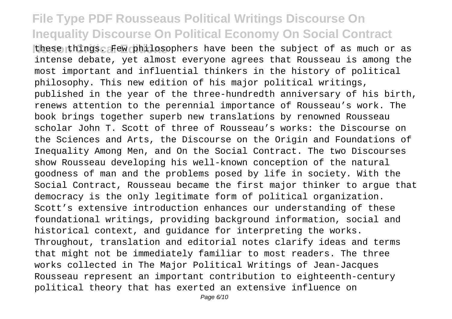these things. Few philosophers have been the subject of as much or as intense debate, yet almost everyone agrees that Rousseau is among the most important and influential thinkers in the history of political philosophy. This new edition of his major political writings, published in the year of the three-hundredth anniversary of his birth, renews attention to the perennial importance of Rousseau's work. The book brings together superb new translations by renowned Rousseau scholar John T. Scott of three of Rousseau's works: the Discourse on the Sciences and Arts, the Discourse on the Origin and Foundations of Inequality Among Men, and On the Social Contract. The two Discourses show Rousseau developing his well-known conception of the natural goodness of man and the problems posed by life in society. With the Social Contract, Rousseau became the first major thinker to argue that democracy is the only legitimate form of political organization. Scott's extensive introduction enhances our understanding of these foundational writings, providing background information, social and historical context, and guidance for interpreting the works. Throughout, translation and editorial notes clarify ideas and terms that might not be immediately familiar to most readers. The three works collected in The Major Political Writings of Jean-Jacques Rousseau represent an important contribution to eighteenth-century political theory that has exerted an extensive influence on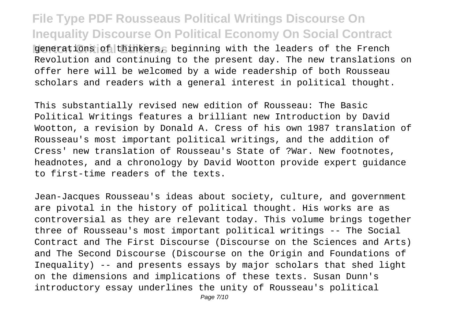**File Type PDF Rousseaus Political Writings Discourse On Inequality Discourse On Political Economy On Social Contract Nonemations of thinkers, beginning with the leaders of the French** Revolution and continuing to the present day. The new translations on offer here will be welcomed by a wide readership of both Rousseau scholars and readers with a general interest in political thought.

This substantially revised new edition of Rousseau: The Basic Political Writings features a brilliant new Introduction by David Wootton, a revision by Donald A. Cress of his own 1987 translation of Rousseau's most important political writings, and the addition of Cress' new translation of Rousseau's State of ?War. New footnotes, headnotes, and a chronology by David Wootton provide expert guidance to first-time readers of the texts.

Jean-Jacques Rousseau's ideas about society, culture, and government are pivotal in the history of political thought. His works are as controversial as they are relevant today. This volume brings together three of Rousseau's most important political writings -- The Social Contract and The First Discourse (Discourse on the Sciences and Arts) and The Second Discourse (Discourse on the Origin and Foundations of Inequality) -- and presents essays by major scholars that shed light on the dimensions and implications of these texts. Susan Dunn's introductory essay underlines the unity of Rousseau's political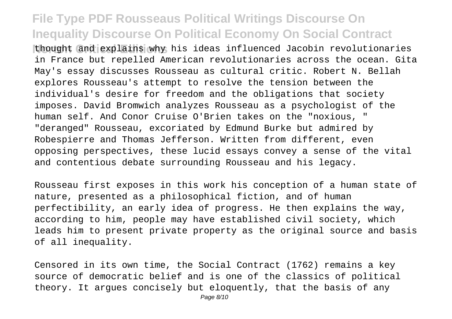thought and explains why his ideas influenced Jacobin revolutionaries in France but repelled American revolutionaries across the ocean. Gita May's essay discusses Rousseau as cultural critic. Robert N. Bellah explores Rousseau's attempt to resolve the tension between the individual's desire for freedom and the obligations that society imposes. David Bromwich analyzes Rousseau as a psychologist of the human self. And Conor Cruise O'Brien takes on the "noxious, " "deranged" Rousseau, excoriated by Edmund Burke but admired by Robespierre and Thomas Jefferson. Written from different, even opposing perspectives, these lucid essays convey a sense of the vital and contentious debate surrounding Rousseau and his legacy.

Rousseau first exposes in this work his conception of a human state of nature, presented as a philosophical fiction, and of human perfectibility, an early idea of progress. He then explains the way, according to him, people may have established civil society, which leads him to present private property as the original source and basis of all inequality.

Censored in its own time, the Social Contract (1762) remains a key source of democratic belief and is one of the classics of political theory. It argues concisely but eloquently, that the basis of any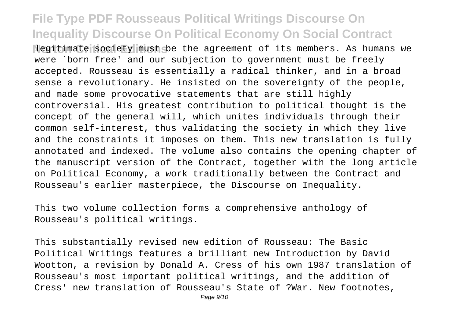**Nogitimate society must be the agreement of its members. As humans we** were `born free' and our subjection to government must be freely accepted. Rousseau is essentially a radical thinker, and in a broad sense a revolutionary. He insisted on the sovereignty of the people, and made some provocative statements that are still highly controversial. His greatest contribution to political thought is the concept of the general will, which unites individuals through their common self-interest, thus validating the society in which they live and the constraints it imposes on them. This new translation is fully annotated and indexed. The volume also contains the opening chapter of the manuscript version of the Contract, together with the long article on Political Economy, a work traditionally between the Contract and Rousseau's earlier masterpiece, the Discourse on Inequality.

This two volume collection forms a comprehensive anthology of Rousseau's political writings.

This substantially revised new edition of Rousseau: The Basic Political Writings features a brilliant new Introduction by David Wootton, a revision by Donald A. Cress of his own 1987 translation of Rousseau's most important political writings, and the addition of Cress' new translation of Rousseau's State of ?War. New footnotes,